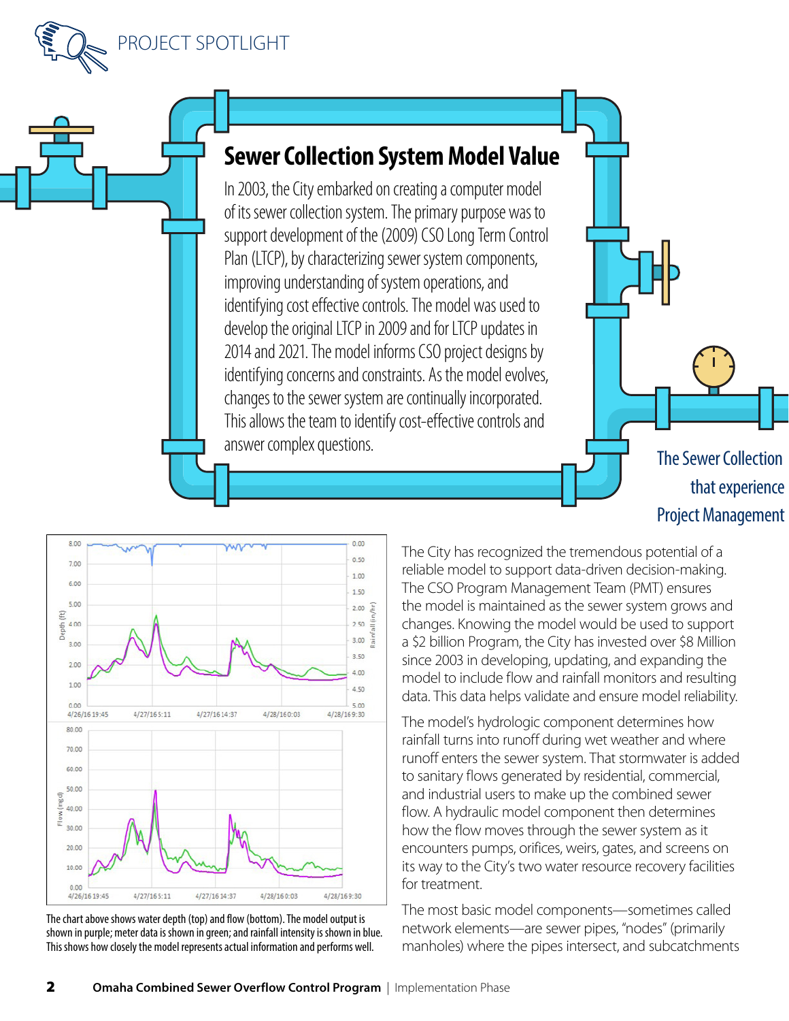



In 2003, the City embarked on creating a computer model of its sewer collection system. The primary purpose was to support development of the (2009) CSO Long Term Control Plan (LTCP), by characterizing sewer system components, improving understanding of system operations, and identifying cost effective controls. The model was used to develop the original LTCP in 2009 and for LTCP updates in 2014 and 2021. The model informs CSO project designs by identifying concerns and constraints. As the model evolves, changes to the sewer system are continually incorporated. This allows the team to identify cost-effective controls and answer complex questions.

The Sewer Collection that experience Project Management



The chart above shows water depth (top) and flow (bottom). The model output is shown in purple; meter data is shown in green; and rainfall intensity is shown in blue. This shows how closely the model represents actual information and performs well.

The City has recognized the tremendous potential of a reliable model to support data-driven decision-making. The CSO Program Management Team (PMT) ensures the model is maintained as the sewer system grows and changes. Knowing the model would be used to support a \$2 billion Program, the City has invested over \$8 Million since 2003 in developing, updating, and expanding the model to include flow and rainfall monitors and resulting data. This data helps validate and ensure model reliability.

The model's hydrologic component determines how rainfall turns into runoff during wet weather and where runoff enters the sewer system. That stormwater is added to sanitary flows generated by residential, commercial, and industrial users to make up the combined sewer flow. A hydraulic model component then determines how the flow moves through the sewer system as it encounters pumps, orifices, weirs, gates, and screens on its way to the City's two water resource recovery facilities for treatment.

The most basic model components—sometimes called network elements—are sewer pipes, "nodes" (primarily manholes) where the pipes intersect, and subcatchments